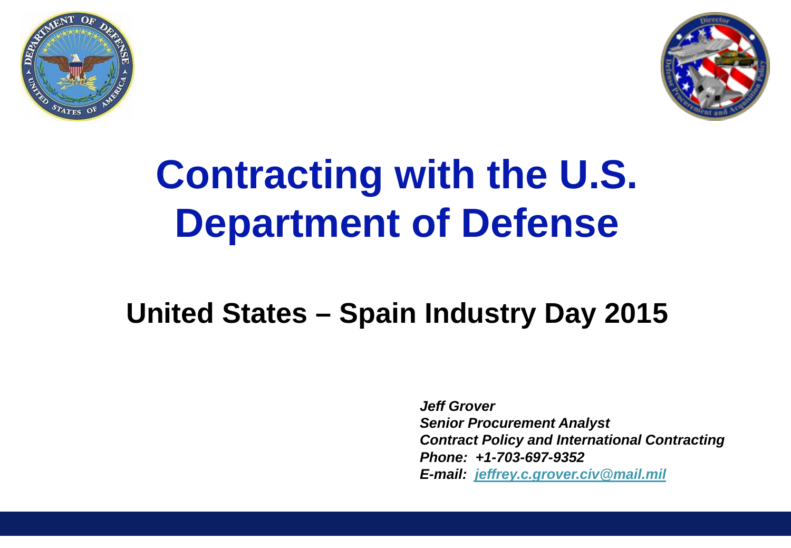



# **Contracting with the U.S. Department of Defense**

#### **United States – Spain Industry Day 2015**

*Jeff Grover Senior Procurement Analyst Contract Policy and International Contracting Phone: +1-703-697-9352 E-mail: [jeffrey.c.grover.civ@mail.mil](mailto:jeffrey.c.grover.civ@osd.mil)*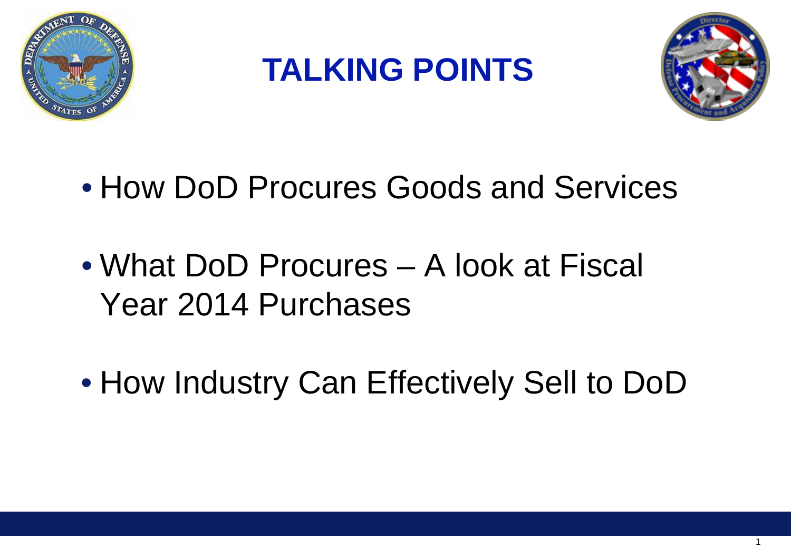

**TALKING POINTS**



- How DoD Procures Goods and Services
- What DoD Procures A look at Fiscal Year 2014 Purchases
- How Industry Can Effectively Sell to DoD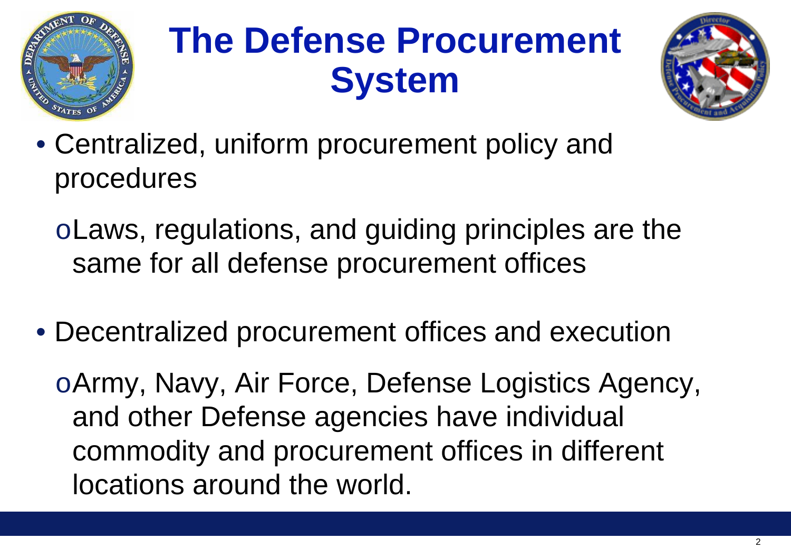

# **The Defense Procurement System**



- Centralized, uniform procurement policy and procedures
	- oLaws, regulations, and guiding principles are the same for all defense procurement offices
- Decentralized procurement offices and execution

oArmy, Navy, Air Force, Defense Logistics Agency, and other Defense agencies have individual commodity and procurement offices in different locations around the world.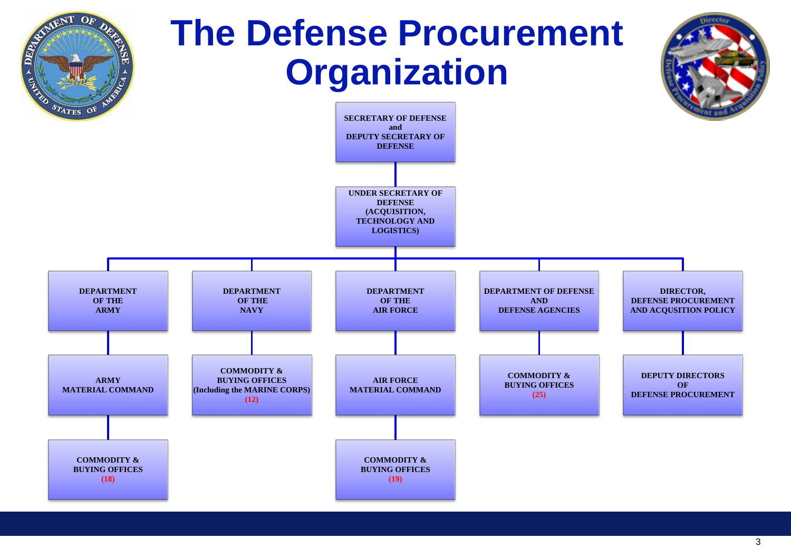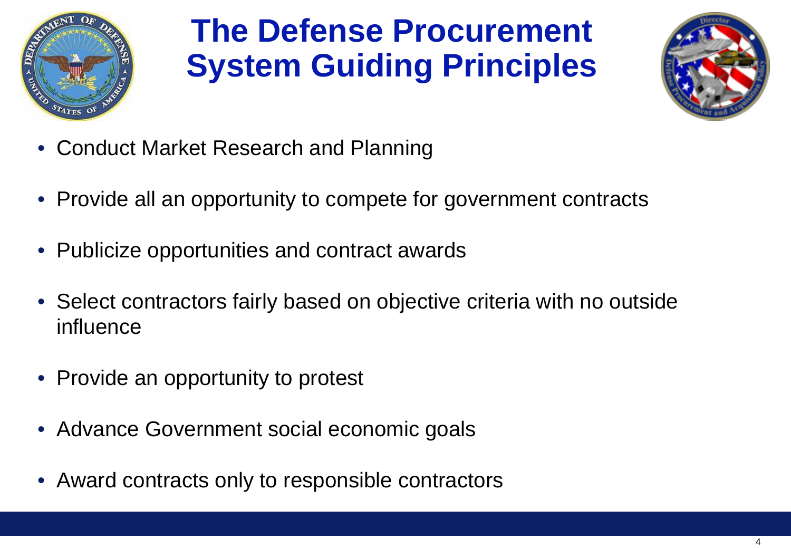

### **The Defense Procurement System Guiding Principles**



- Conduct Market Research and Planning
- Provide all an opportunity to compete for government contracts
- Publicize opportunities and contract awards
- Select contractors fairly based on objective criteria with no outside influence
- Provide an opportunity to protest
- Advance Government social economic goals
- Award contracts only to responsible contractors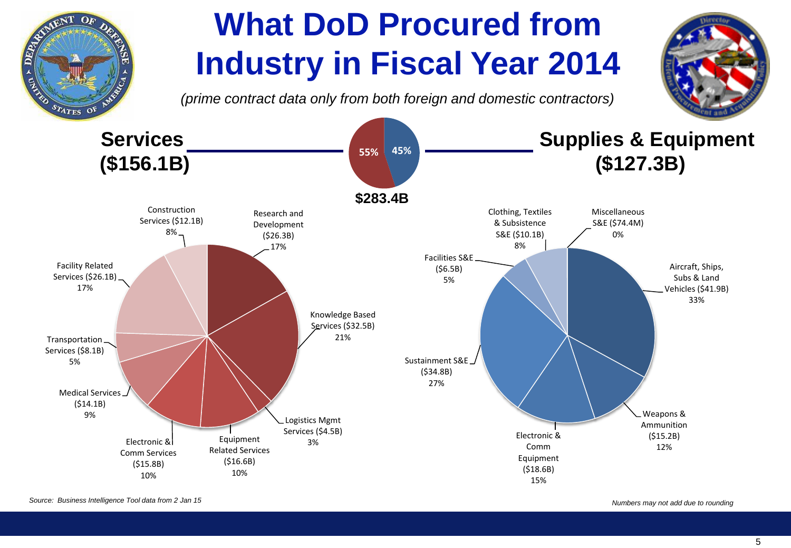

*Source: Business Intelligence Tool data from 2 Jan 15*

*Numbers may not add due to rounding*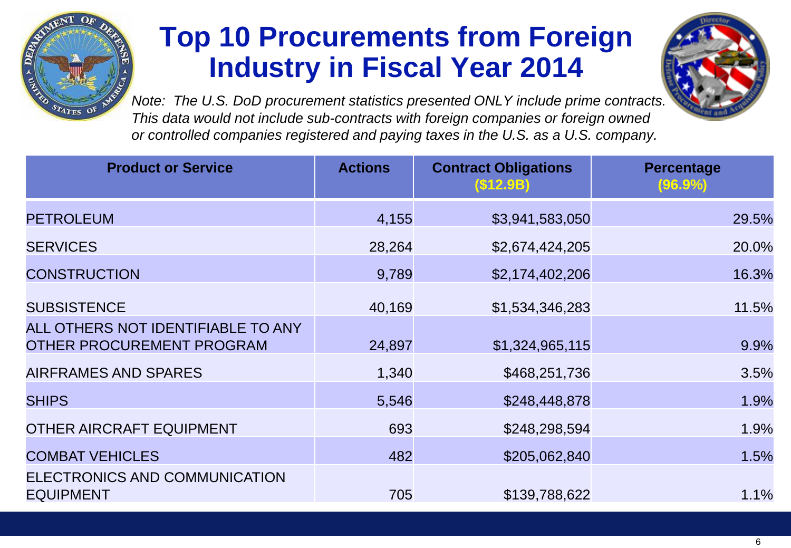

#### **Top 10 Procurements from Foreign Industry in Fiscal Year 2014**



*Note: The U.S. DoD procurement statistics presented ONLY include prime contracts. This data would not include sub-contracts with foreign companies or foreign owned or controlled companies registered and paying taxes in the U.S. as a U.S. company.*

| <b>Product or Service</b>                                              | <b>Actions</b> | <b>Contract Obligations</b><br>(S12.9B) | <b>Percentage</b><br>(96.9%) |
|------------------------------------------------------------------------|----------------|-----------------------------------------|------------------------------|
| <b>PETROLEUM</b>                                                       | 4,155          | \$3,941,583,050                         | 29.5%                        |
| <b>SERVICES</b>                                                        | 28,264         | \$2,674,424,205                         | 20.0%                        |
| <b>CONSTRUCTION</b>                                                    | 9,789          | \$2,174,402,206                         | 16.3%                        |
| <b>SUBSISTENCE</b>                                                     | 40,169         | \$1,534,346,283                         | 11.5%                        |
| ALL OTHERS NOT IDENTIFIABLE TO ANY<br><b>OTHER PROCUREMENT PROGRAM</b> | 24,897         | \$1,324,965,115                         | 9.9%                         |
| <b>AIRFRAMES AND SPARES</b>                                            | 1,340          | \$468,251,736                           | 3.5%                         |
| <b>SHIPS</b>                                                           | 5,546          | \$248,448,878                           | 1.9%                         |
| <b>OTHER AIRCRAFT EQUIPMENT</b>                                        | 693            | \$248,298,594                           | 1.9%                         |
| <b>COMBAT VEHICLES</b>                                                 | 482            | \$205,062,840                           | 1.5%                         |
| ELECTRONICS AND COMMUNICATION<br><b>EQUIPMENT</b>                      | 705            | \$139,788,622                           | 1.1%                         |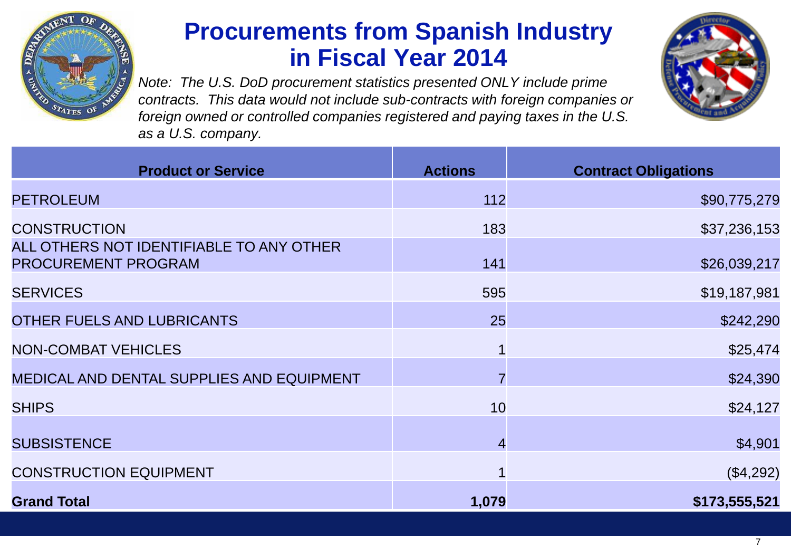

#### **Procurements from Spanish Industry in Fiscal Year 2014**

*Note: The U.S. DoD procurement statistics presented ONLY include prime contracts. This data would not include sub-contracts with foreign companies or foreign owned or controlled companies registered and paying taxes in the U.S. as a U.S. company.*



| <b>Product or Service</b>                                              | <b>Actions</b> | <b>Contract Obligations</b> |
|------------------------------------------------------------------------|----------------|-----------------------------|
| <b>PETROLEUM</b>                                                       | 112            | \$90,775,279                |
| <b>CONSTRUCTION</b>                                                    | 183            | \$37,236,153                |
| ALL OTHERS NOT IDENTIFIABLE TO ANY OTHER<br><b>PROCUREMENT PROGRAM</b> | 141            | \$26,039,217                |
| <b>SERVICES</b>                                                        | 595            | \$19,187,981                |
| OTHER FUELS AND LUBRICANTS                                             | 25             | \$242,290                   |
| <b>NON-COMBAT VEHICLES</b>                                             |                | \$25,474                    |
| <b>MEDICAL AND DENTAL SUPPLIES AND EQUIPMENT</b>                       | $\overline{7}$ | \$24,390                    |
| <b>SHIPS</b>                                                           | 10             | \$24,127                    |
| <b>SUBSISTENCE</b>                                                     | 4              | \$4,901                     |
| <b>CONSTRUCTION EQUIPMENT</b>                                          |                | (\$4,292)                   |
| <b>Grand Total</b>                                                     | 1,079          | \$173,555,521               |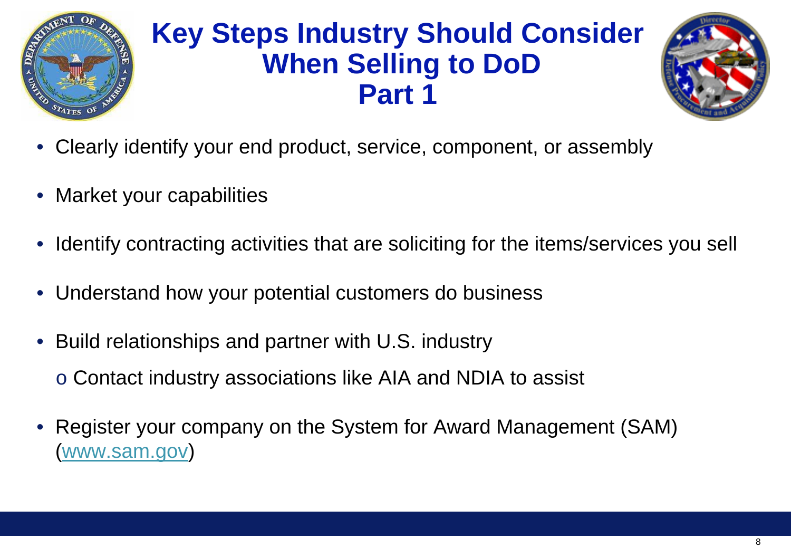

#### **Key Steps Industry Should Consider When Selling to DoD Part 1**



- Clearly identify your end product, service, component, or assembly
- Market your capabilities
- Identify contracting activities that are soliciting for the items/services you sell
- Understand how your potential customers do business
- Build relationships and partner with U.S. industry
	- o Contact industry associations like AIA and NDIA to assist
- Register your company on the System for Award Management (SAM) [\(www.sam.gov](http://www.sam.gov/))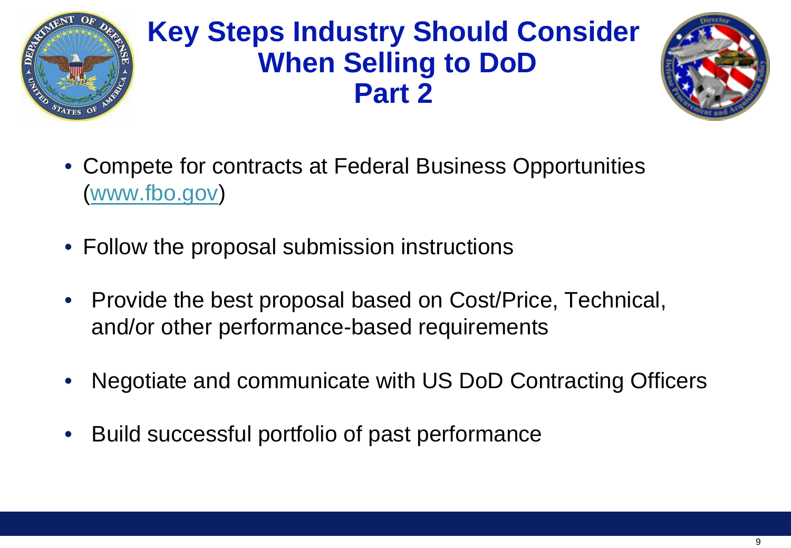

#### **Key Steps Industry Should Consider When Selling to DoD Part 2**



- Compete for contracts at Federal Business Opportunities [\(www.fbo.gov](http://www.fbo.gov/))
- Follow the proposal submission instructions
- Provide the best proposal based on Cost/Price, Technical, and/or other performance-based requirements
- Negotiate and communicate with US DoD Contracting Officers
- Build successful portfolio of past performance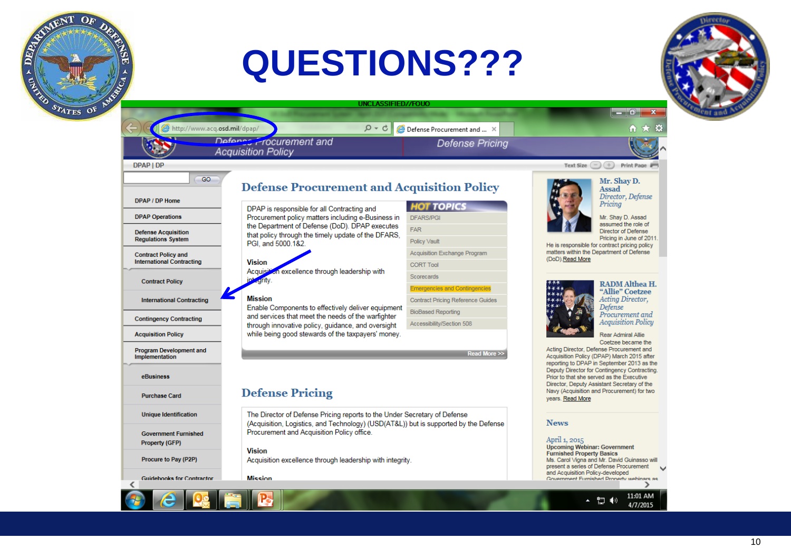## **QUESTIONS???**

â

C. Maria

STATES OF



**UNCLASSIFIED//FOUO** http://www.acq.osd.mil/dpap/  $D - C$ <sup>2</sup> Defense Procurement and ... X Defense Procurement and **Defense Pricina Acquisition Policy** DPAP | DP Text Size  $\bigodot$   $\begin{array}{ccc} + \end{array}$  Print Page  $\begin{array}{ccc} - \end{array}$ GO. **Defense Procurement and Acquisition Policy** DPAP / DP Home **HOT TOPICS** DPAP is responsible for all Contracting and Procurement policy matters including e-Business in **DPAP Operations DFARS/PG** the Department of Defense (DoD). DPAP executes **FAR Defense Acquisition** that policy through the timely update of the DFARS. **Regulations System** Policy Vault PGI, and 5000.1&2. Acquisition Exchange Program **Contract Policy and** (DoD).Read More **International Contracting Vision CORT Tool** Acquisi excellence through leadership with Scorecards **Contract Policy Emergencies and Contingencies Mission International Contracting Contract Pricing Reference Guides** Enable Components to effectively deliver equipment **BioBased Reporting** and services that meet the needs of the warfighter **Contingency Contracting** Accessibility/Section 508 through innovative policy, guidance, and oversight while being good stewards of the taxpayers' money. **Acquisition Policy Program Development and** Read More >> Implementation eBusiness **Defense Pricing Purchase Card** years. Read More The Director of Defense Pricing reports to the Under Secretary of Defense **Unique Identification** (Acquisition, Logistics, and Technology) (USD(AT&L)) but is supported by the Defense **News** Procurement and Acquisition Policy office. **Government Furnished** April 1, 2015 **Property (GFP) Vision** Procure to Pay (P2P) Acquisition excellence through leadership with integrity. **Mission Guidebooks for Contractor** ∢ ▲ 归 (0)



#### Mr. Shay D. Assad

Director, Defense Pricing

Mr. Shay D. Assad assumed the role of Director of Defense Pricing in June of 2011.

He is responsible for contract pricing policy matters within the Department of Defense



#### **RADM** Althea H. "Allie" Coetzee Acting Director, Defense Procurement and **Acquisition Policy**

Rear Admiral Allie Coetzee became the

Acting Director, Defense Procurement and Acquisition Policy (DPAP) March 2015 after reporting to DPAP in September 2013 as the Deputy Director for Contingency Contracting. Prior to that she served as the Executive Director, Deputy Assistant Secretary of the Navy (Acquisition and Procurement) for two

**Upcoming Webinar: Government Furnished Property Basics** Ms. Carol Vigna and Mr. David Guinasso will present a series of Defense Procurement and Acquisition Policy-developed Government Furnished Property webinars as  $\rightarrow$ 

11:01 AM

4/7/2015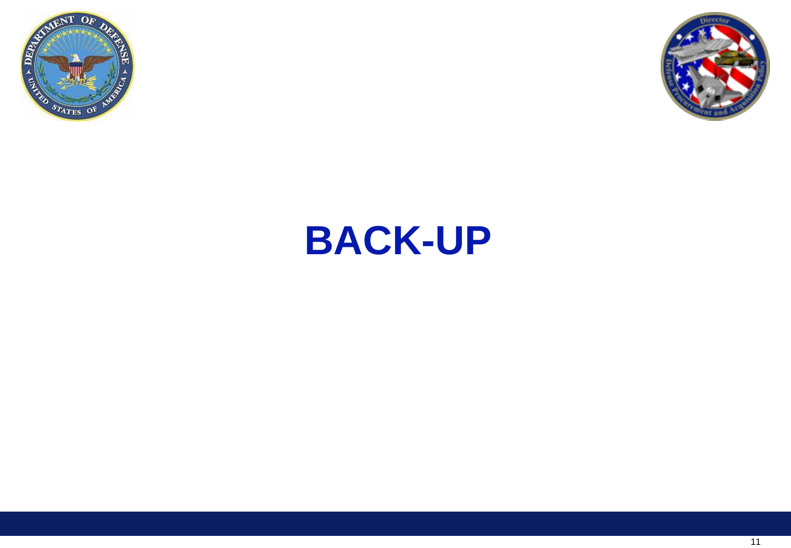



## **BACK-UP**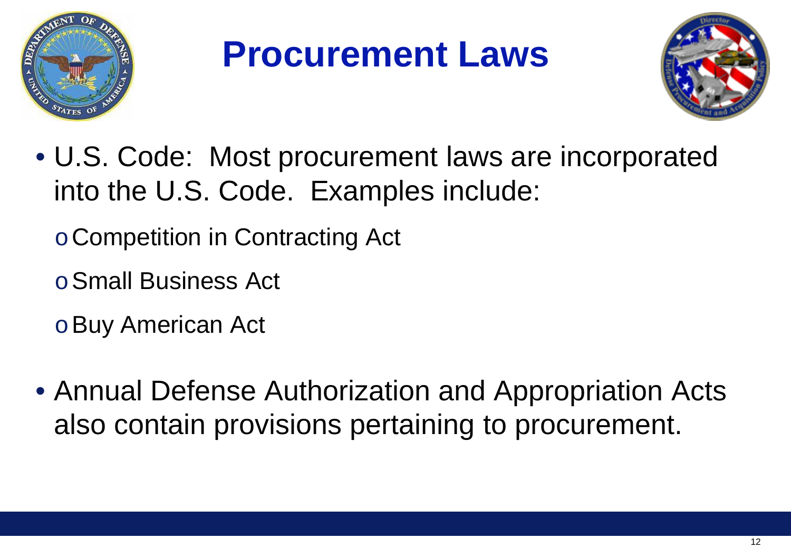

## **Procurement Laws**



- U.S. Code: Most procurement laws are incorporated into the U.S. Code. Examples include:
	- oCompetition in Contracting Act
	- oSmall Business Act
	- oBuy American Act
- Annual Defense Authorization and Appropriation Acts also contain provisions pertaining to procurement.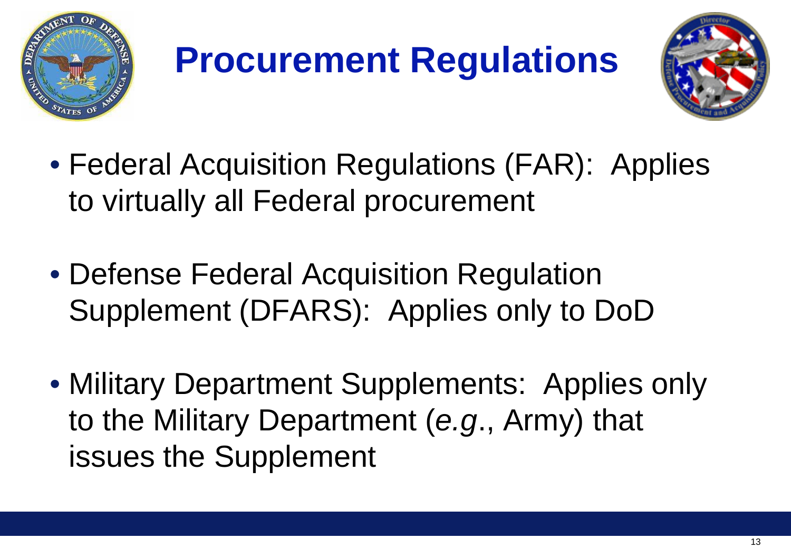

## **Procurement Regulations**



- Federal Acquisition Regulations (FAR): Applies to virtually all Federal procurement
- Defense Federal Acquisition Regulation Supplement (DFARS): Applies only to DoD
- Military Department Supplements: Applies only to the Military Department (*e.g*., Army) that issues the Supplement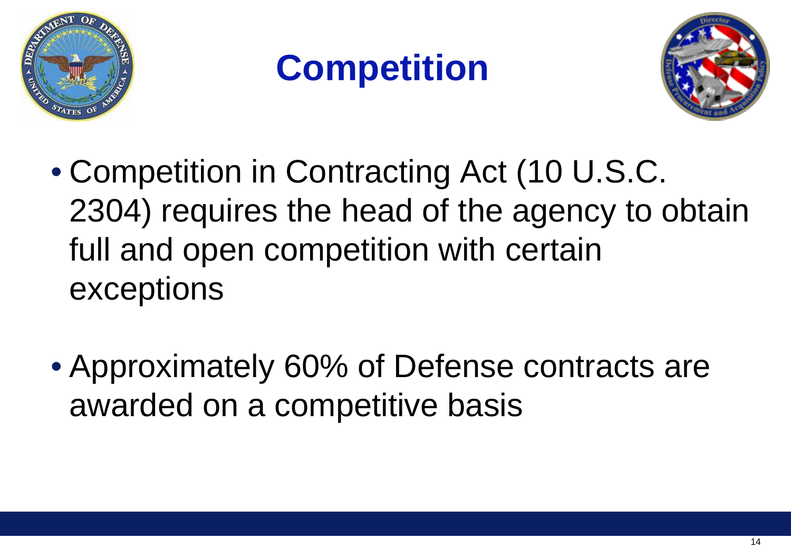

## **Competition**



- Competition in Contracting Act (10 U.S.C. 2304) requires the head of the agency to obtain full and open competition with certain exceptions
- Approximately 60% of Defense contracts are awarded on a competitive basis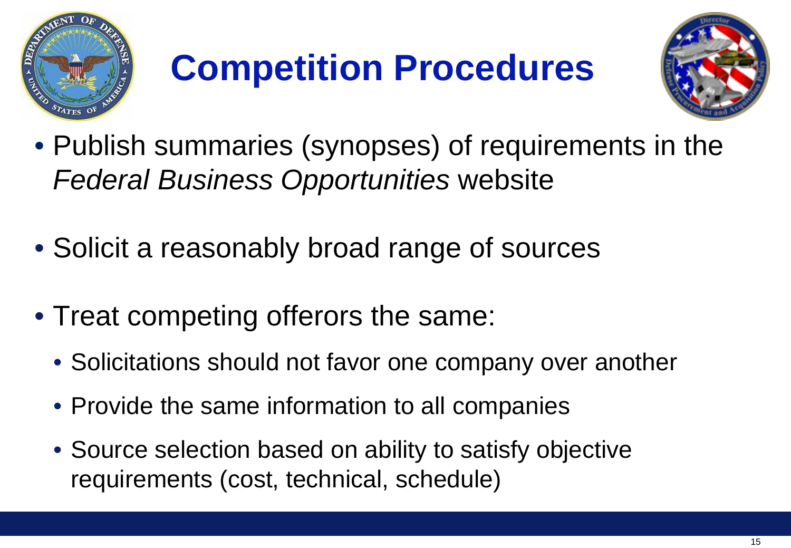

# **Competition Procedures**



- Publish summaries (synopses) of requirements in the *Federal Business Opportunities* website
- Solicit a reasonably broad range of sources
- Treat competing offerors the same:
	- Solicitations should not favor one company over another
	- Provide the same information to all companies
	- Source selection based on ability to satisfy objective requirements (cost, technical, schedule)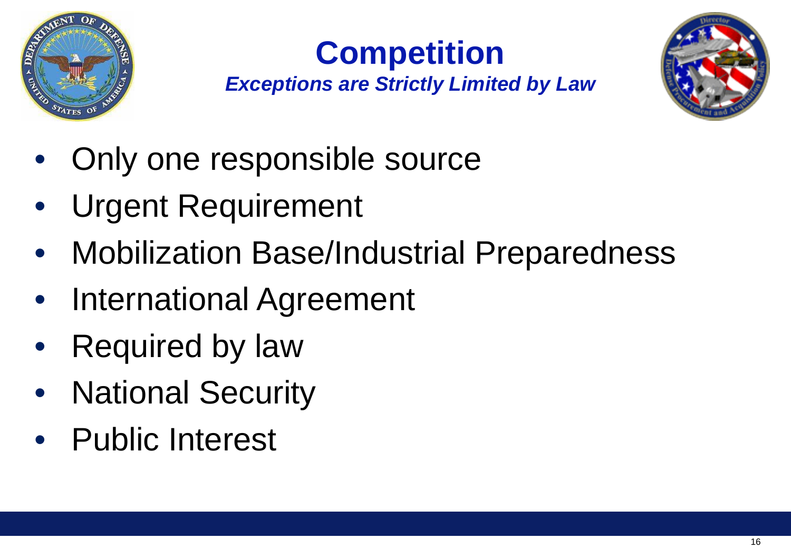

## **Competition**

*Exceptions are Strictly Limited by Law*



- Only one responsible source
- Urgent Requirement
- Mobilization Base/Industrial Preparedness
- International Agreement
- **Required by law**
- National Security
- Public Interest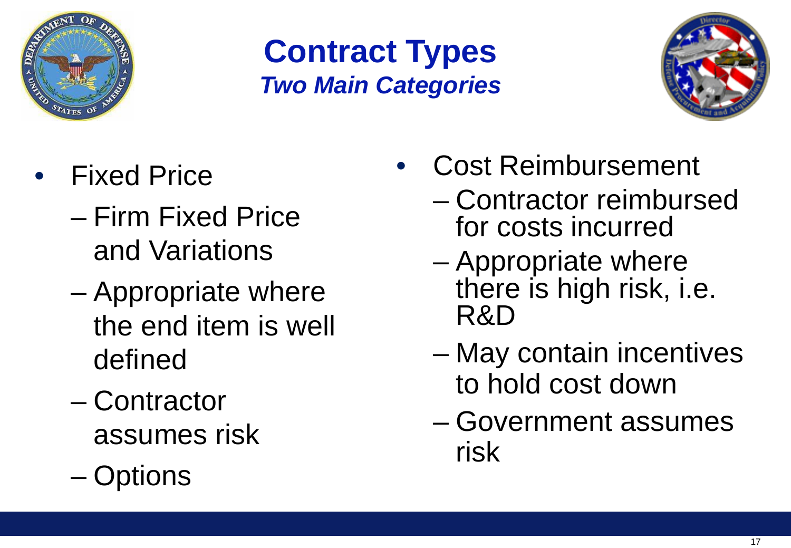

#### **Contract Types** *Two Main Categories*



- Fixed Price
	- Firm Fixed Price and Variations
	- Appropriate where the end item is well defined
	- Contractor assumes risk
	- Options
- Cost Reimbursement
	- Contractor reimbursed for costs incurred
	- Appropriate where there is high risk, i.e. R&D
	- May contain incentives to hold cost down
	- Government assumes risk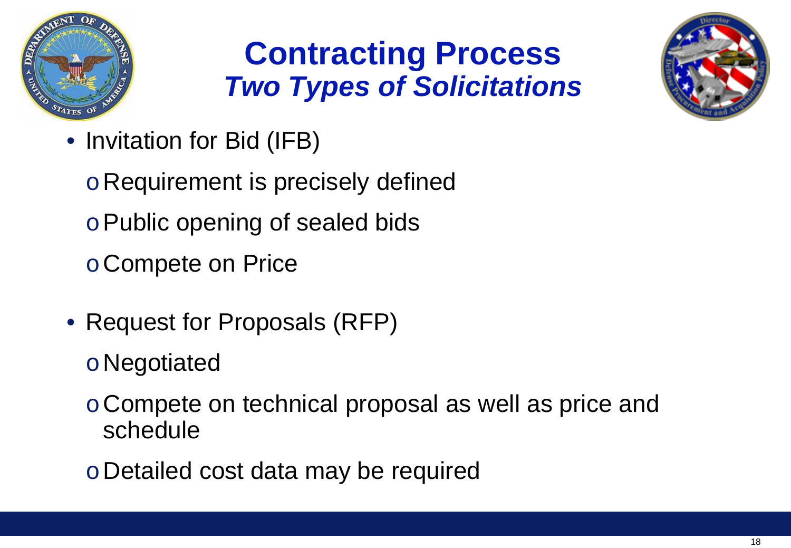

#### **Contracting Process** *Two Types of Solicitations*



• Invitation for Bid (IFB)

oRequirement is precisely defined oPublic opening of sealed bids oCompete on Price

- Request for Proposals (RFP)
	- oNegotiated
	- oCompete on technical proposal as well as price and schedule
	- oDetailed cost data may be required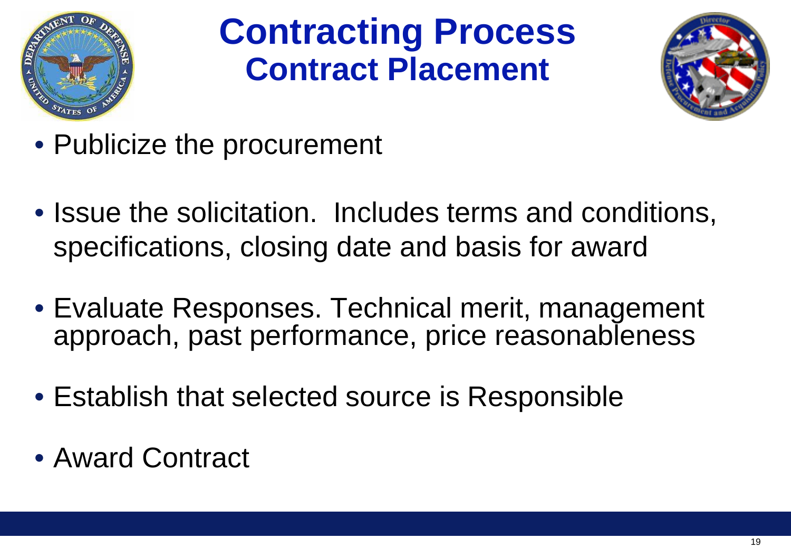

### **Contracting Process Contract Placement**



- Publicize the procurement
- Issue the solicitation. Includes terms and conditions, specifications, closing date and basis for award
- Evaluate Responses. Technical merit, management approach, past performance, price reasonableness
- Establish that selected source is Responsible
- Award Contract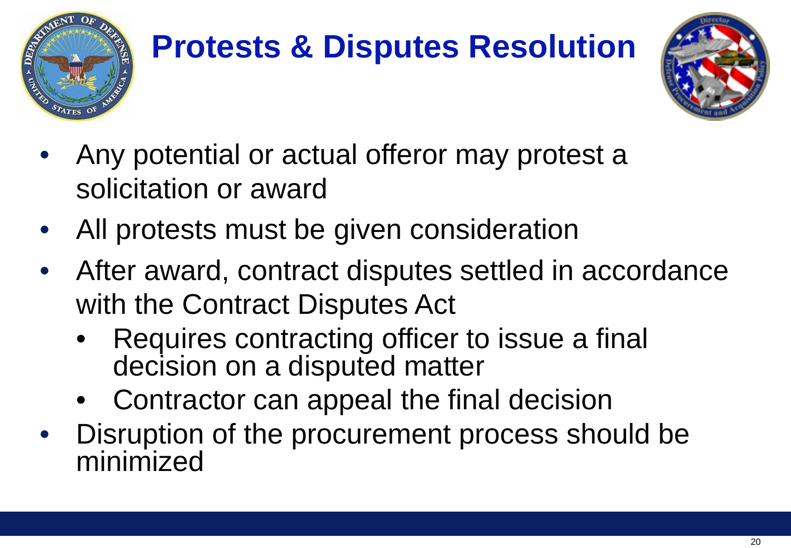

## **Protests & Disputes Resolution**



- Any potential or actual offeror may protest a solicitation or award
- All protests must be given consideration
- After award, contract disputes settled in accordance with the Contract Disputes Act
	- Requires contracting officer to issue a final decision on a disputed matter
	- Contractor can appeal the final decision
- Disruption of the procurement process should be minimized